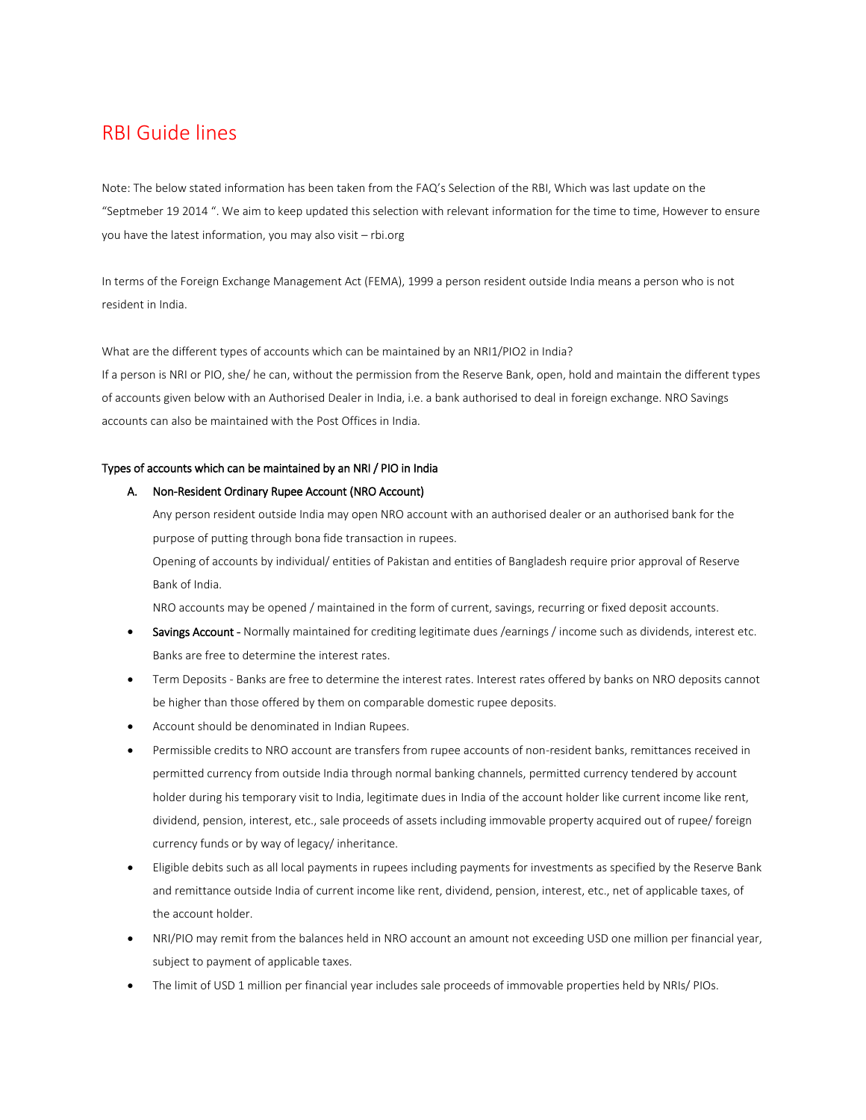# RBI Guide lines

Note: The below stated information has been taken from the FAQ's Selection of the RBI, Which was last update on the "Septmeber 19 2014 ". We aim to keep updated this selection with relevant information for the time to time, However to ensure you have the latest information, you may also visit – rbi.org

In terms of the Foreign Exchange Management Act (FEMA), 1999 a person resident outside India means a person who is not resident in India.

What are the different types of accounts which can be maintained by an NRI1/PIO2 in India? If a person is NRI or PIO, she/ he can, without the permission from the Reserve Bank, open, hold and maintain the different types of accounts given below with an Authorised Dealer in India, i.e. a bank authorised to deal in foreign exchange. NRO Savings accounts can also be maintained with the Post Offices in India.

# Types of accounts which can be maintained by an NRI / PIO in India

## A. Non-Resident Ordinary Rupee Account (NRO Account)

Any person resident outside India may open NRO account with an authorised dealer or an authorised bank for the purpose of putting through bona fide transaction in rupees.

Opening of accounts by individual/ entities of Pakistan and entities of Bangladesh require prior approval of Reserve Bank of India.

NRO accounts may be opened / maintained in the form of current, savings, recurring or fixed deposit accounts.

- Savings Account Normally maintained for crediting legitimate dues /earnings / income such as dividends, interest etc. Banks are free to determine the interest rates.
- Term Deposits Banks are free to determine the interest rates. Interest rates offered by banks on NRO deposits cannot be higher than those offered by them on comparable domestic rupee deposits.
- Account should be denominated in Indian Rupees.
- Permissible credits to NRO account are transfers from rupee accounts of non-resident banks, remittances received in permitted currency from outside India through normal banking channels, permitted currency tendered by account holder during his temporary visit to India, legitimate dues in India of the account holder like current income like rent, dividend, pension, interest, etc., sale proceeds of assets including immovable property acquired out of rupee/ foreign currency funds or by way of legacy/ inheritance.
- Eligible debits such as all local payments in rupees including payments for investments as specified by the Reserve Bank and remittance outside India of current income like rent, dividend, pension, interest, etc., net of applicable taxes, of the account holder.
- NRI/PIO may remit from the balances held in NRO account an amount not exceeding USD one million per financial year, subject to payment of applicable taxes.
- The limit of USD 1 million per financial year includes sale proceeds of immovable properties held by NRIs/ PIOs.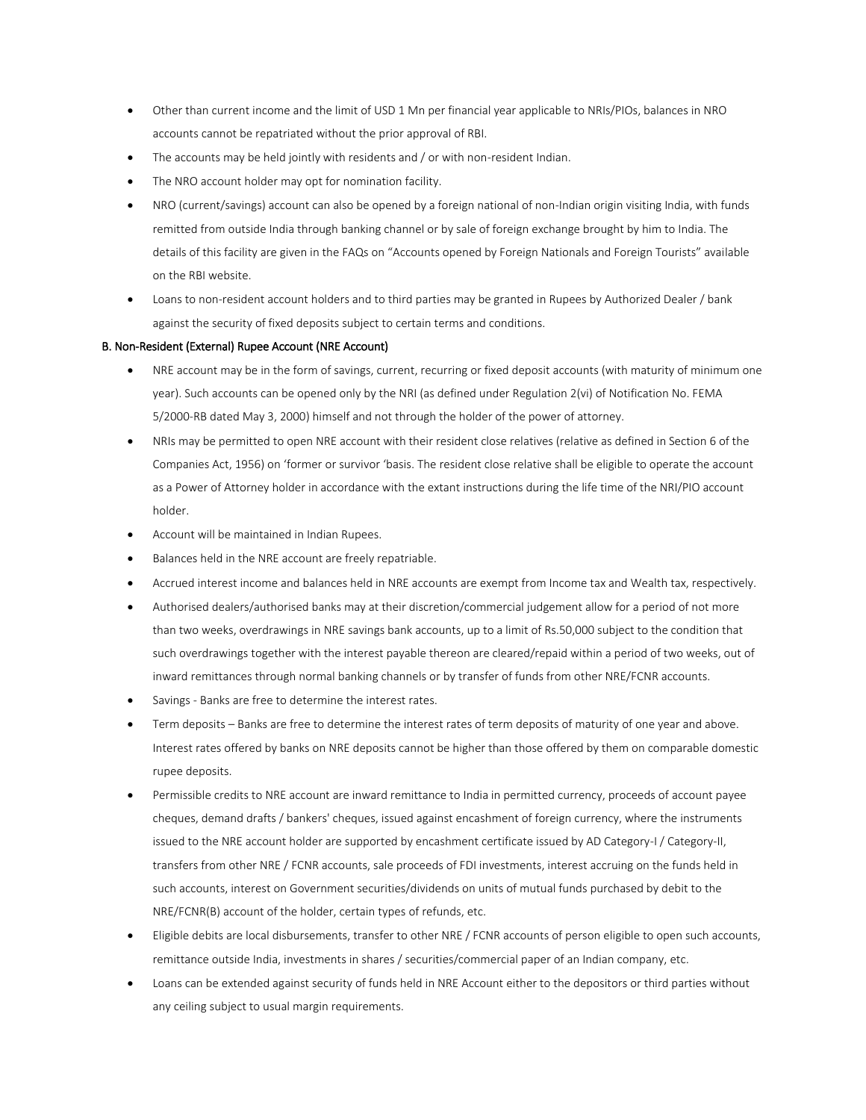- Other than current income and the limit of USD 1 Mn per financial year applicable to NRIs/PIOs, balances in NRO accounts cannot be repatriated without the prior approval of RBI.
- The accounts may be held jointly with residents and / or with non-resident Indian.
- The NRO account holder may opt for nomination facility.
- NRO (current/savings) account can also be opened by a foreign national of non-Indian origin visiting India, with funds remitted from outside India through banking channel or by sale of foreign exchange brought by him to India. The details of this facility are given in the FAQs on "Accounts opened by Foreign Nationals and Foreign Tourists" available on the RBI website.
- Loans to non-resident account holders and to third parties may be granted in Rupees by Authorized Dealer / bank against the security of fixed deposits subject to certain terms and conditions.

# B. Non-Resident (External) Rupee Account (NRE Account)

- NRE account may be in the form of savings, current, recurring or fixed deposit accounts (with maturity of minimum one year). Such accounts can be opened only by the NRI (as defined under Regulation 2(vi) of Notification No. FEMA 5/2000-RB dated May 3, 2000) himself and not through the holder of the power of attorney.
- NRIs may be permitted to open NRE account with their resident close relatives (relative as defined in Section 6 of the Companies Act, 1956) on 'former or survivor 'basis. The resident close relative shall be eligible to operate the account as a Power of Attorney holder in accordance with the extant instructions during the life time of the NRI/PIO account holder.
- Account will be maintained in Indian Rupees.
- Balances held in the NRE account are freely repatriable.
- Accrued interest income and balances held in NRE accounts are exempt from Income tax and Wealth tax, respectively.
- Authorised dealers/authorised banks may at their discretion/commercial judgement allow for a period of not more than two weeks, overdrawings in NRE savings bank accounts, up to a limit of Rs.50,000 subject to the condition that such overdrawings together with the interest payable thereon are cleared/repaid within a period of two weeks, out of inward remittances through normal banking channels or by transfer of funds from other NRE/FCNR accounts.
- Savings Banks are free to determine the interest rates.
- Term deposits Banks are free to determine the interest rates of term deposits of maturity of one year and above. Interest rates offered by banks on NRE deposits cannot be higher than those offered by them on comparable domestic rupee deposits.
- Permissible credits to NRE account are inward remittance to India in permitted currency, proceeds of account payee cheques, demand drafts / bankers' cheques, issued against encashment of foreign currency, where the instruments issued to the NRE account holder are supported by encashment certificate issued by AD Category-I / Category-II, transfers from other NRE / FCNR accounts, sale proceeds of FDI investments, interest accruing on the funds held in such accounts, interest on Government securities/dividends on units of mutual funds purchased by debit to the NRE/FCNR(B) account of the holder, certain types of refunds, etc.
- Eligible debits are local disbursements, transfer to other NRE / FCNR accounts of person eligible to open such accounts, remittance outside India, investments in shares / securities/commercial paper of an Indian company, etc.
- Loans can be extended against security of funds held in NRE Account either to the depositors or third parties without any ceiling subject to usual margin requirements.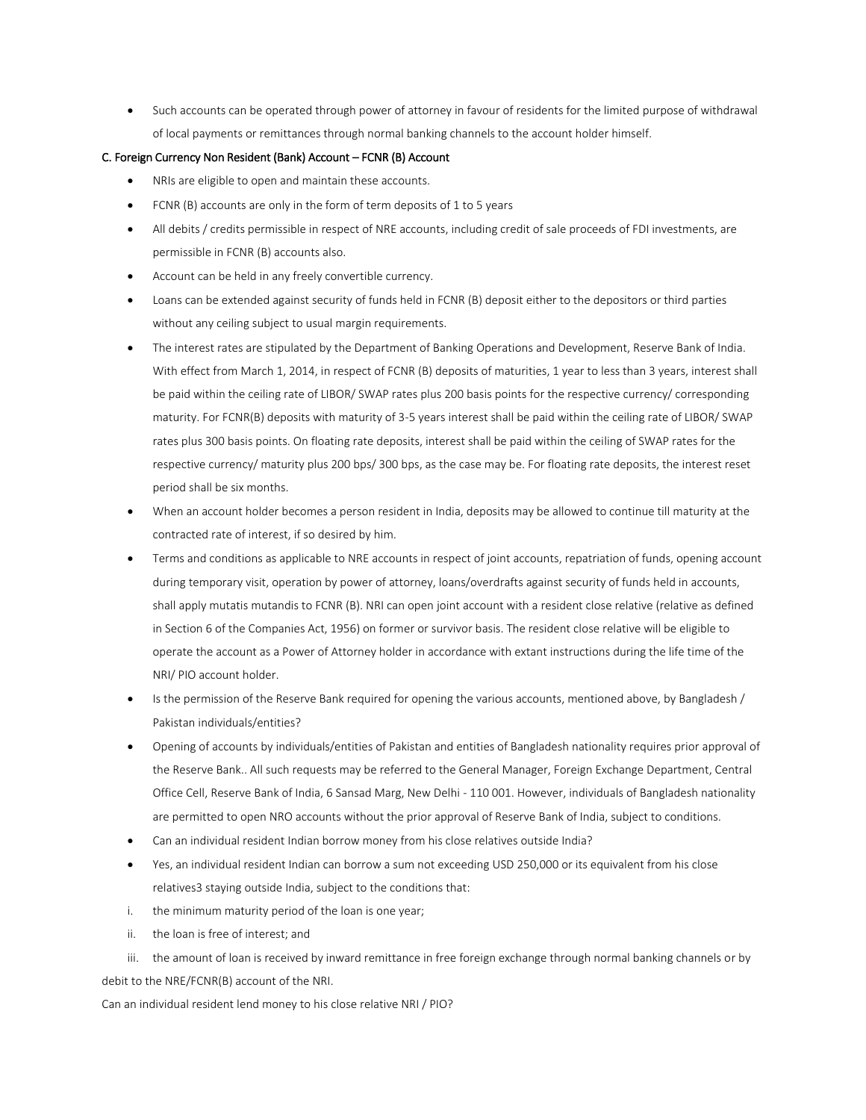Such accounts can be operated through power of attorney in favour of residents for the limited purpose of withdrawal of local payments or remittances through normal banking channels to the account holder himself.

# C. Foreign Currency Non Resident (Bank) Account – FCNR (B) Account

- NRIs are eligible to open and maintain these accounts.
- FCNR (B) accounts are only in the form of term deposits of 1 to 5 years
- All debits / credits permissible in respect of NRE accounts, including credit of sale proceeds of FDI investments, are permissible in FCNR (B) accounts also.
- Account can be held in any freely convertible currency.
- Loans can be extended against security of funds held in FCNR (B) deposit either to the depositors or third parties without any ceiling subject to usual margin requirements.
- The interest rates are stipulated by the Department of Banking Operations and Development, Reserve Bank of India. With effect from March 1, 2014, in respect of FCNR (B) deposits of maturities, 1 year to less than 3 years, interest shall be paid within the ceiling rate of LIBOR/ SWAP rates plus 200 basis points for the respective currency/ corresponding maturity. For FCNR(B) deposits with maturity of 3-5 years interest shall be paid within the ceiling rate of LIBOR/ SWAP rates plus 300 basis points. On floating rate deposits, interest shall be paid within the ceiling of SWAP rates for the respective currency/ maturity plus 200 bps/ 300 bps, as the case may be. For floating rate deposits, the interest reset period shall be six months.
- When an account holder becomes a person resident in India, deposits may be allowed to continue till maturity at the contracted rate of interest, if so desired by him.
- Terms and conditions as applicable to NRE accounts in respect of joint accounts, repatriation of funds, opening account during temporary visit, operation by power of attorney, loans/overdrafts against security of funds held in accounts, shall apply mutatis mutandis to FCNR (B). NRI can open joint account with a resident close relative (relative as defined in Section 6 of the Companies Act, 1956) on former or survivor basis. The resident close relative will be eligible to operate the account as a Power of Attorney holder in accordance with extant instructions during the life time of the NRI/ PIO account holder.
- Is the permission of the Reserve Bank required for opening the various accounts, mentioned above, by Bangladesh / Pakistan individuals/entities?
- Opening of accounts by individuals/entities of Pakistan and entities of Bangladesh nationality requires prior approval of the Reserve Bank.. All such requests may be referred to the General Manager, Foreign Exchange Department, Central Office Cell, Reserve Bank of India, 6 Sansad Marg, New Delhi - 110 001. However, individuals of Bangladesh nationality are permitted to open NRO accounts without the prior approval of Reserve Bank of India, subject to conditions.
- Can an individual resident Indian borrow money from his close relatives outside India?
- Yes, an individual resident Indian can borrow a sum not exceeding USD 250,000 or its equivalent from his close relatives3 staying outside India, subject to the conditions that:
- i. the minimum maturity period of the loan is one year;
- ii. the loan is free of interest; and

iii. the amount of loan is received by inward remittance in free foreign exchange through normal banking channels or by debit to the NRE/FCNR(B) account of the NRI.

Can an individual resident lend money to his close relative NRI / PIO?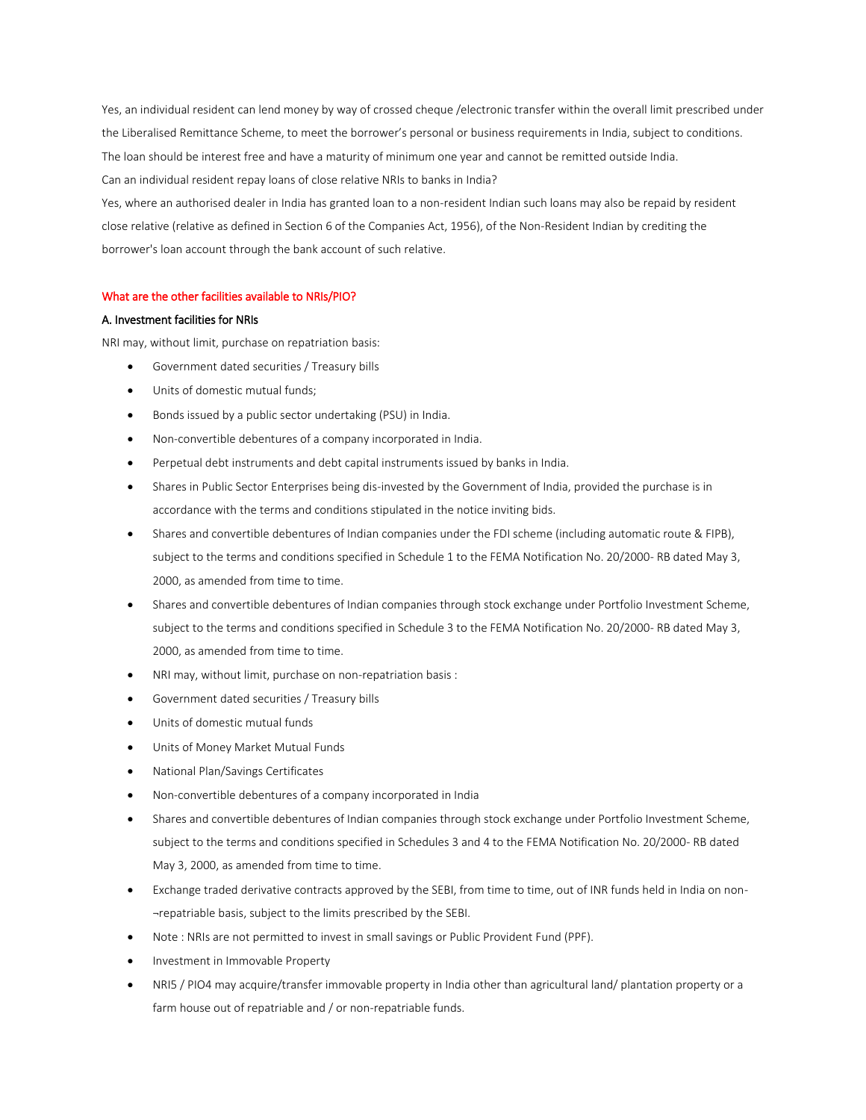Yes, an individual resident can lend money by way of crossed cheque /electronic transfer within the overall limit prescribed under the Liberalised Remittance Scheme, to meet the borrower's personal or business requirements in India, subject to conditions. The loan should be interest free and have a maturity of minimum one year and cannot be remitted outside India. Can an individual resident repay loans of close relative NRIs to banks in India?

Yes, where an authorised dealer in India has granted loan to a non-resident Indian such loans may also be repaid by resident close relative (relative as defined in Section 6 of the Companies Act, 1956), of the Non-Resident Indian by crediting the borrower's loan account through the bank account of such relative.

## What are the other facilities available to NRIs/PIO?

## A. Investment facilities for NRIs

NRI may, without limit, purchase on repatriation basis:

- Government dated securities / Treasury bills
- Units of domestic mutual funds;
- Bonds issued by a public sector undertaking (PSU) in India.
- Non-convertible debentures of a company incorporated in India.
- Perpetual debt instruments and debt capital instruments issued by banks in India.
- Shares in Public Sector Enterprises being dis-invested by the Government of India, provided the purchase is in accordance with the terms and conditions stipulated in the notice inviting bids.
- Shares and convertible debentures of Indian companies under the FDI scheme (including automatic route & FIPB), subject to the terms and conditions specified in Schedule 1 to the FEMA Notification No. 20/2000- RB dated May 3, 2000, as amended from time to time.
- Shares and convertible debentures of Indian companies through stock exchange under Portfolio Investment Scheme, subject to the terms and conditions specified in Schedule 3 to the FEMA Notification No. 20/2000- RB dated May 3, 2000, as amended from time to time.
- NRI may, without limit, purchase on non-repatriation basis :
- Government dated securities / Treasury bills
- Units of domestic mutual funds
- Units of Money Market Mutual Funds
- National Plan/Savings Certificates
- Non-convertible debentures of a company incorporated in India
- Shares and convertible debentures of Indian companies through stock exchange under Portfolio Investment Scheme, subject to the terms and conditions specified in Schedules 3 and 4 to the FEMA Notification No. 20/2000- RB dated May 3, 2000, as amended from time to time.
- Exchange traded derivative contracts approved by the SEBI, from time to time, out of INR funds held in India on non- ¬repatriable basis, subject to the limits prescribed by the SEBI.
- Note : NRIs are not permitted to invest in small savings or Public Provident Fund (PPF).
- Investment in Immovable Property
- NRI5 / PIO4 may acquire/transfer immovable property in India other than agricultural land/ plantation property or a farm house out of repatriable and / or non-repatriable funds.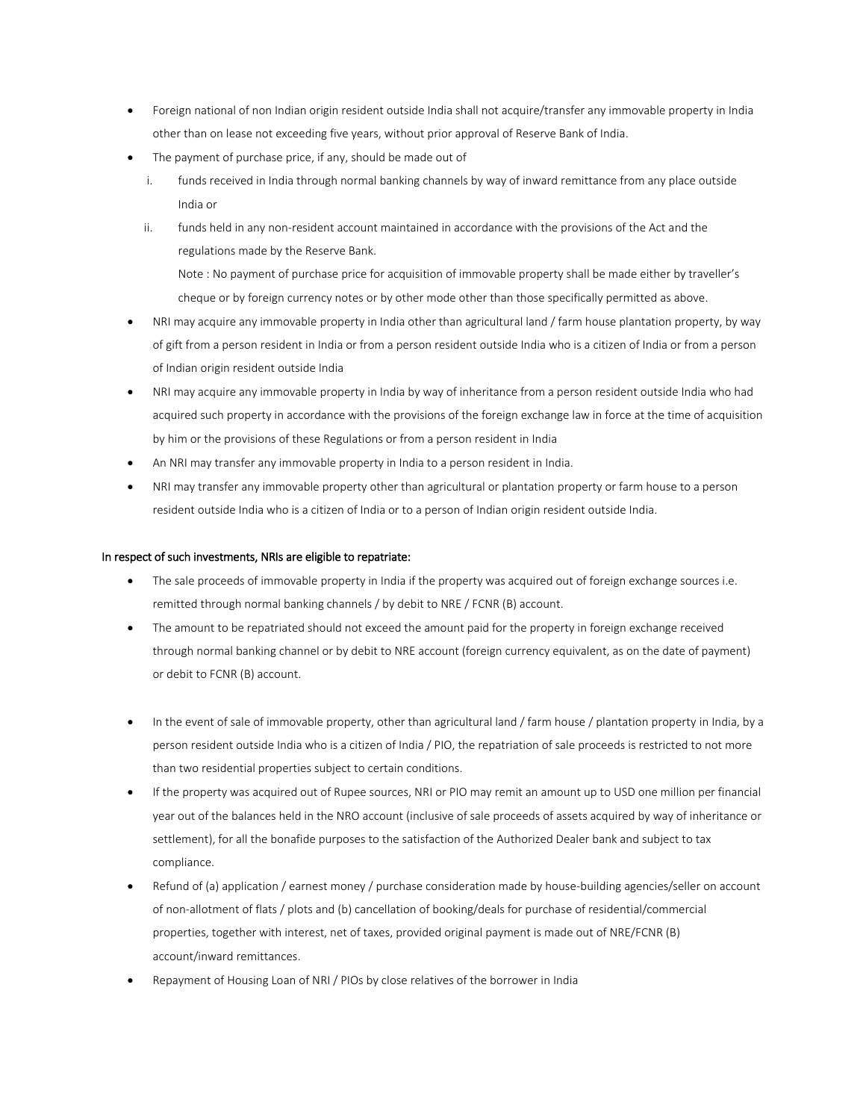- Foreign national of non Indian origin resident outside India shall not acquire/transfer any immovable property in India other than on lease not exceeding five years, without prior approval of Reserve Bank of India.
- The payment of purchase price, if any, should be made out of
	- i. funds received in India through normal banking channels by way of inward remittance from any place outside India or
	- ii. funds held in any non-resident account maintained in accordance with the provisions of the Act and the regulations made by the Reserve Bank. Note : No payment of purchase price for acquisition of immovable property shall be made either by traveller's cheque or by foreign currency notes or by other mode other than those specifically permitted as above.
- NRI may acquire any immovable property in India other than agricultural land / farm house plantation property, by way of gift from a person resident in India or from a person resident outside India who is a citizen of India or from a person of Indian origin resident outside India
- NRI may acquire any immovable property in India by way of inheritance from a person resident outside India who had acquired such property in accordance with the provisions of the foreign exchange law in force at the time of acquisition by him or the provisions of these Regulations or from a person resident in India
- An NRI may transfer any immovable property in India to a person resident in India.
- NRI may transfer any immovable property other than agricultural or plantation property or farm house to a person resident outside India who is a citizen of India or to a person of Indian origin resident outside India.

## In respect of such investments, NRIs are eligible to repatriate:

- The sale proceeds of immovable property in India if the property was acquired out of foreign exchange sources i.e. remitted through normal banking channels / by debit to NRE / FCNR (B) account.
- The amount to be repatriated should not exceed the amount paid for the property in foreign exchange received through normal banking channel or by debit to NRE account (foreign currency equivalent, as on the date of payment) or debit to FCNR (B) account.
- In the event of sale of immovable property, other than agricultural land / farm house / plantation property in India, by a person resident outside India who is a citizen of India / PIO, the repatriation of sale proceeds is restricted to not more than two residential properties subject to certain conditions.
- If the property was acquired out of Rupee sources, NRI or PIO may remit an amount up to USD one million per financial year out of the balances held in the NRO account (inclusive of sale proceeds of assets acquired by way of inheritance or settlement), for all the bonafide purposes to the satisfaction of the Authorized Dealer bank and subject to tax compliance.
- Refund of (a) application / earnest money / purchase consideration made by house-building agencies/seller on account of non-allotment of flats / plots and (b) cancellation of booking/deals for purchase of residential/commercial properties, together with interest, net of taxes, provided original payment is made out of NRE/FCNR (B) account/inward remittances.
- Repayment of Housing Loan of NRI / PIOs by close relatives of the borrower in India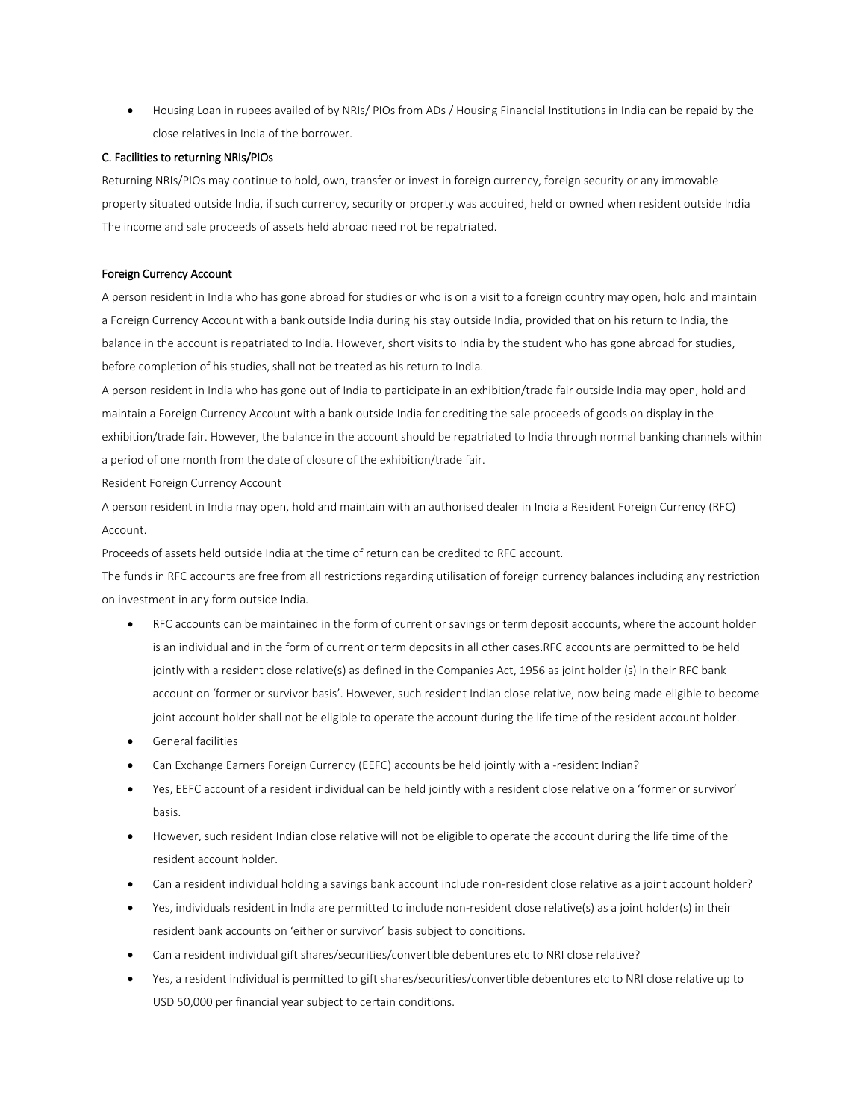Housing Loan in rupees availed of by NRIs/ PIOs from ADs / Housing Financial Institutions in India can be repaid by the close relatives in India of the borrower.

## C. Facilities to returning NRIs/PIOs

Returning NRIs/PIOs may continue to hold, own, transfer or invest in foreign currency, foreign security or any immovable property situated outside India, if such currency, security or property was acquired, held or owned when resident outside India The income and sale proceeds of assets held abroad need not be repatriated.

#### Foreign Currency Account

A person resident in India who has gone abroad for studies or who is on a visit to a foreign country may open, hold and maintain a Foreign Currency Account with a bank outside India during his stay outside India, provided that on his return to India, the balance in the account is repatriated to India. However, short visits to India by the student who has gone abroad for studies, before completion of his studies, shall not be treated as his return to India.

A person resident in India who has gone out of India to participate in an exhibition/trade fair outside India may open, hold and maintain a Foreign Currency Account with a bank outside India for crediting the sale proceeds of goods on display in the exhibition/trade fair. However, the balance in the account should be repatriated to India through normal banking channels within a period of one month from the date of closure of the exhibition/trade fair.

Resident Foreign Currency Account

A person resident in India may open, hold and maintain with an authorised dealer in India a Resident Foreign Currency (RFC) Account.

Proceeds of assets held outside India at the time of return can be credited to RFC account.

The funds in RFC accounts are free from all restrictions regarding utilisation of foreign currency balances including any restriction on investment in any form outside India.

- RFC accounts can be maintained in the form of current or savings or term deposit accounts, where the account holder is an individual and in the form of current or term deposits in all other cases.RFC accounts are permitted to be held jointly with a resident close relative(s) as defined in the Companies Act, 1956 as joint holder (s) in their RFC bank account on 'former or survivor basis'. However, such resident Indian close relative, now being made eligible to become joint account holder shall not be eligible to operate the account during the life time of the resident account holder.
- General facilities
- Can Exchange Earners Foreign Currency (EEFC) accounts be held jointly with a -resident Indian?
- Yes, EEFC account of a resident individual can be held jointly with a resident close relative on a 'former or survivor' basis.
- However, such resident Indian close relative will not be eligible to operate the account during the life time of the resident account holder.
- Can a resident individual holding a savings bank account include non-resident close relative as a joint account holder?
- Yes, individuals resident in India are permitted to include non-resident close relative(s) as a joint holder(s) in their resident bank accounts on 'either or survivor' basis subject to conditions.
- Can a resident individual gift shares/securities/convertible debentures etc to NRI close relative?
- Yes, a resident individual is permitted to gift shares/securities/convertible debentures etc to NRI close relative up to USD 50,000 per financial year subject to certain conditions.